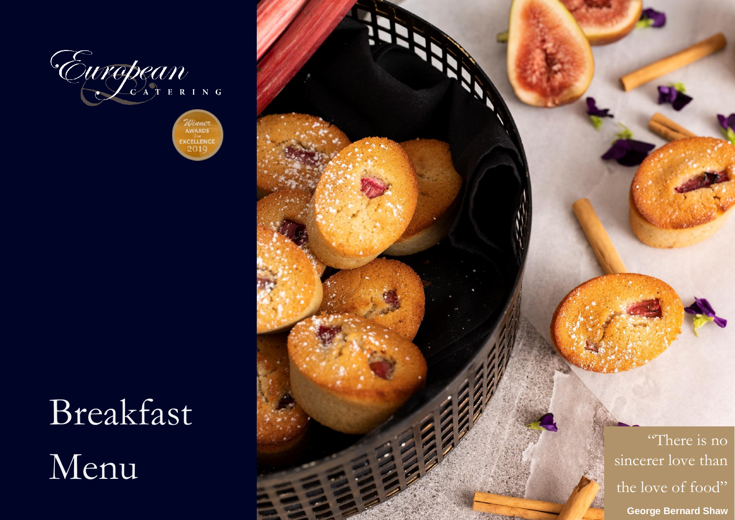



# Breakfast Menu

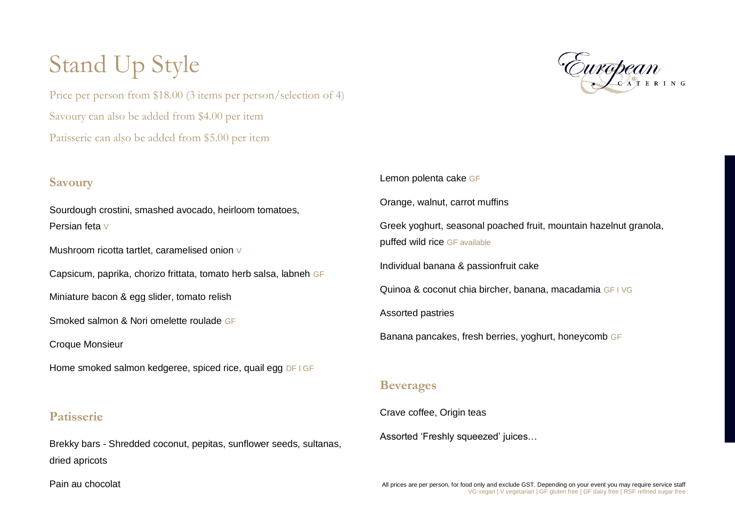## Stand Up Style

Price per person from \$18.00 (3 items per person/selection of 4) Savoury can also be added from \$4.00 per item Patisserie can also be added from \$5.00 per item

### **Savoury**

Sourdough crostini, smashed avocado, heirloom tomatoes, Persian feta V

Mushroom ricotta tartlet, caramelised onion V

Capsicum, paprika, chorizo frittata, tomato herb salsa, labneh GF

Miniature bacon & egg slider, tomato relish

Smoked salmon & Nori omelette roulade GF

Croque Monsieur

Home smoked salmon kedgeree, spiced rice, quail egg DF I GF

### **Patisserie**

Brekky bars - Shredded coconut, pepitas, sunflower seeds, sultanas, dried apricots

Lemon polenta cake GF Orange, walnut, carrot muffins Greek yoghurt, seasonal poached fruit, mountain hazelnut granola, puffed wild rice GF available Individual banana & passionfruit cake Quinoa & coconut chia bircher, banana, macadamia GF I VG Assorted pastries Banana pancakes, fresh berries, yoghurt, honeycomb GF

#### **Beverages**

Crave coffee, Origin teas

Assorted 'Freshly squeezed' juices…

Pain au chocolat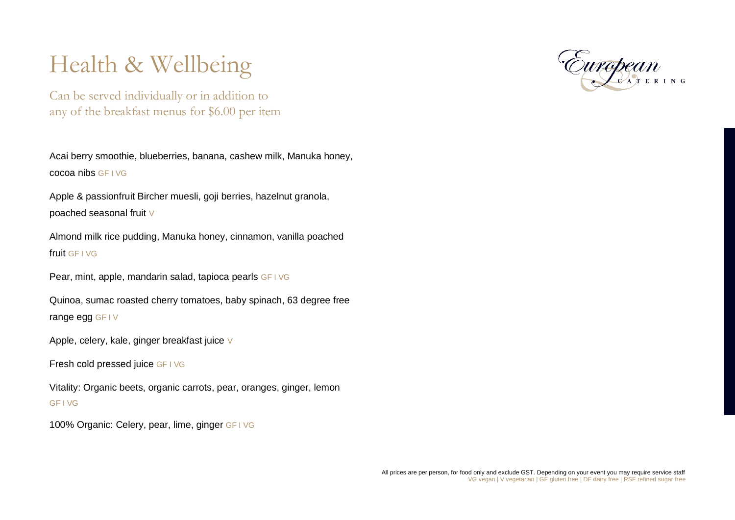## Health & Wellbeing

Can be served individually or in addition to any of the breakfast menus for \$6.00 per item

Acai berry smoothie, blueberries, banana, cashew milk, Manuka honey, cocoa nibs GF I VG

Apple & passionfruit Bircher muesli, goji berries, hazelnut granola, poached seasonal fruit V

Almond milk rice pudding, Manuka honey, cinnamon, vanilla poached fruit GF I VG

Pear, mint, apple, mandarin salad, tapioca pearls GF I VG

Quinoa, sumac roasted cherry tomatoes, baby spinach, 63 degree free range egg GF I V

Apple, celery, kale, ginger breakfast juice V

Fresh cold pressed juice GF I VG

Vitality: Organic beets, organic carrots, pear, oranges, ginger, lemon GF I VG

100% Organic: Celery, pear, lime, ginger GF I VG

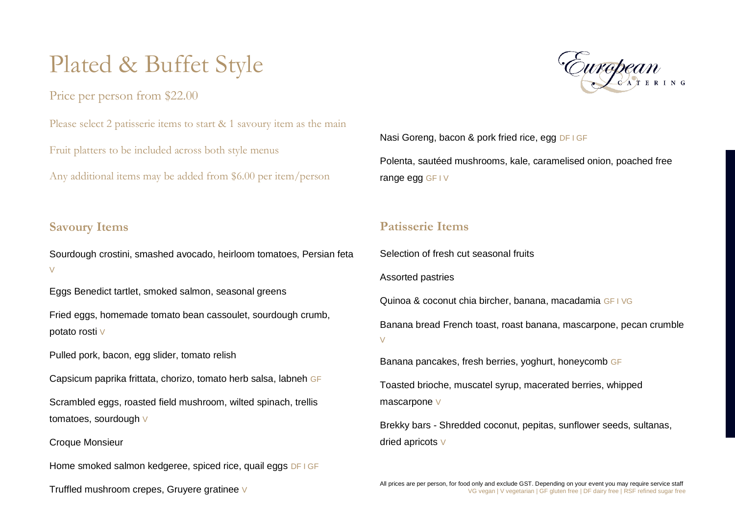### Plated & Buffet Style

Price per person from \$22.00

Please select 2 patisserie items to start & 1 savoury item as the main

Fruit platters to be included across both style menus

Any additional items may be added from \$6.00 per item/person

### **Savoury Items**

Sourdough crostini, smashed avocado, heirloom tomatoes, Persian feta  $\overline{V}$ 

Eggs Benedict tartlet, smoked salmon, seasonal greens

Fried eggs, homemade tomato bean cassoulet, sourdough crumb, potato rosti V

Pulled pork, bacon, egg slider, tomato relish

Capsicum paprika frittata, chorizo, tomato herb salsa, labneh GF

Scrambled eggs, roasted field mushroom, wilted spinach, trellis tomatoes, sourdough V

Croque Monsieur

Home smoked salmon kedgeree, spiced rice, quail eggs DF I GF

Truffled mushroom crepes, Gruyere gratinee V



Nasi Goreng, bacon & pork fried rice, egg DF I GF Polenta, sautéed mushrooms, kale, caramelised onion, poached free range egg GF I V

### **Patisserie Items**

Selection of fresh cut seasonal fruits

Assorted pastries

Quinoa & coconut chia bircher, banana, macadamia GF I VG

Banana bread French toast, roast banana, mascarpone, pecan crumble V

Banana pancakes, fresh berries, yoghurt, honeycomb GF

Toasted brioche, muscatel syrup, macerated berries, whipped mascarpone V

Brekky bars - Shredded coconut, pepitas, sunflower seeds, sultanas, dried apricots V